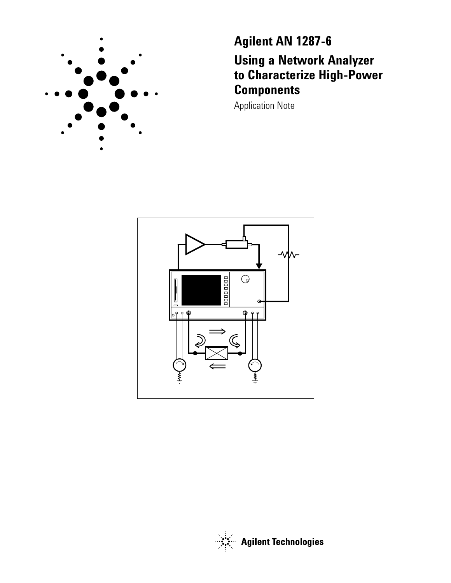

**Agilent AN 1287-6 Using a Network Analyzer to Characterize High-Power Components**

Application Note



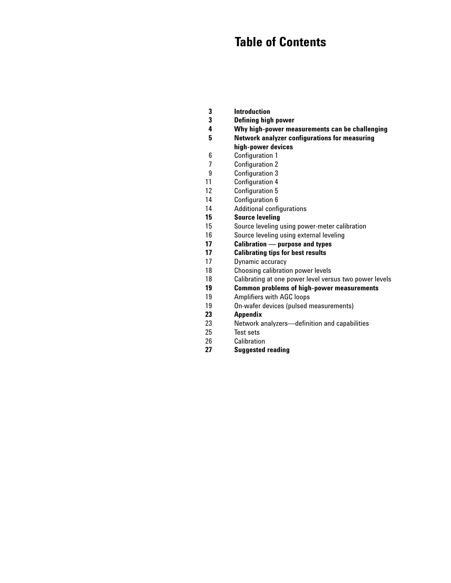# **Table of Contents**

- **3 Introduction**
- **3 Defining high power**
- **4 5 Why high-power measurements can be challenging**
	- **Network analyzer configurations for measuring**

# **high-power devices**

- 6 Configuration 1
- 7 Configuration 2
- 9 Configuration 3
- 11 Configuration 4
- 12 Configuration 5
- 14 Configuration 6
- 14 Additional configurations
- **15 Source leveling**
- 15 Source leveling using power-meter calibration
- 16 Source leveling using external leveling
- **17 Calibration — purpose and types**
- **17 Calibrating tips for best results**
- 17 Dynamic accuracy
- 18 Choosing calibration power levels
- 18 Calibrating at one power level versus two power levels
- **19 Common problems of high-power measurements**
- 19 Amplifiers with AGC loops
- 19 On-wafer devices (pulsed measurements)
- **23 Appendix**
- 23 Network analyzers—definition and capabilities
- 25 Test sets
- 26 Calibration
- **27 Suggested reading**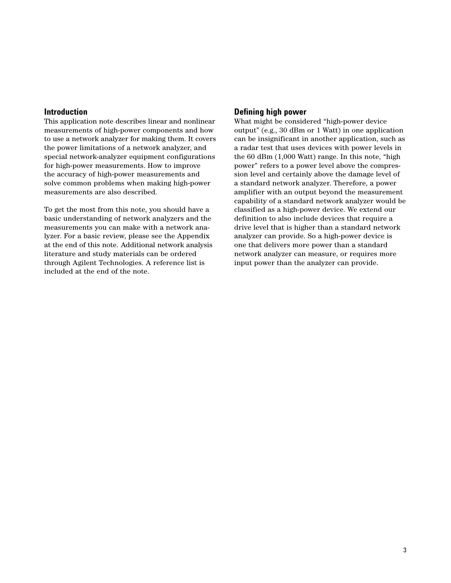#### **Introduction**

This application note describes linear and nonlinear measurements of high-power components and how to use a network analyzer for making them. It covers the power limitations of a network analyzer, and special network-analyzer equipment configurations for high-power measurements. How to improve the accuracy of high-power measurements and solve common problems when making high-power measurements are also described.

To get the most from this note, you should have a basic understanding of network analyzers and the measurements you can make with a network analyzer. For a basic review, please see the Appendix at the end of this note. Additional network analysis literature and study materials can be ordered through Agilent Technologies. A reference list is included at the end of the note.

#### **Defining high power**

What might be considered "high-power device output" (e.g., 30 dBm or 1 Watt) in one application can be insignificant in another application, such as a radar test that uses devices with power levels in the 60 dBm (1,000 Watt) range. In this note, "high power" refers to a power level above the compression level and certainly above the damage level of a standard network analyzer. Therefore, a power amplifier with an output beyond the measurement capability of a standard network analyzer would be classified as a high-power device. We extend our definition to also include devices that require a drive level that is higher than a standard network analyzer can provide. So a high-power device is one that delivers more power than a standard network analyzer can measure, or requires more input power than the analyzer can provide.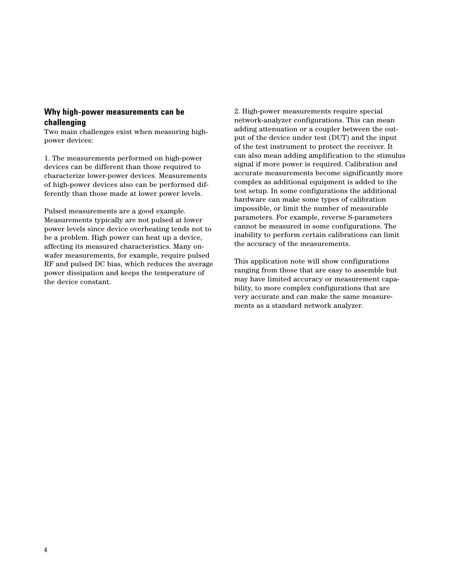# **Why high-power measurements can be challenging**

Two main challenges exist when measuring highpower devices:

1. The measurements performed on high-power devices can be different than those required to characterize lower-power devices. Measurements of high-power devices also can be performed differently than those made at lower power levels.

Pulsed measurements are a good example. Measurements typically are not pulsed at lower power levels since device overheating tends not to be a problem. High power can heat up a device, affecting its measured characteristics. Many onwafer measurements, for example, require pulsed RF and pulsed DC bias, which reduces the average power dissipation and keeps the temperature of the device constant.

2. High-power measurements require special network-analyzer configurations. This can mean adding attenuation or a coupler between the output of the device under test (DUT) and the input of the test instrument to protect the receiver. It can also mean adding amplification to the stimulus signal if more power is required. Calibration and accurate measurements become significantly more complex as additional equipment is added to the test setup. In some configurations the additional hardware can make some types of calibration impossible, or limit the number of measurable parameters. For example, reverse S-parameters cannot be measured in some configurations. The inability to perform certain calibrations can limit the accuracy of the measurements.

This application note will show configurations ranging from those that are easy to assemble but may have limited accuracy or measurement capability, to more complex configurations that are very accurate and can make the same measurements as a standard network analyzer.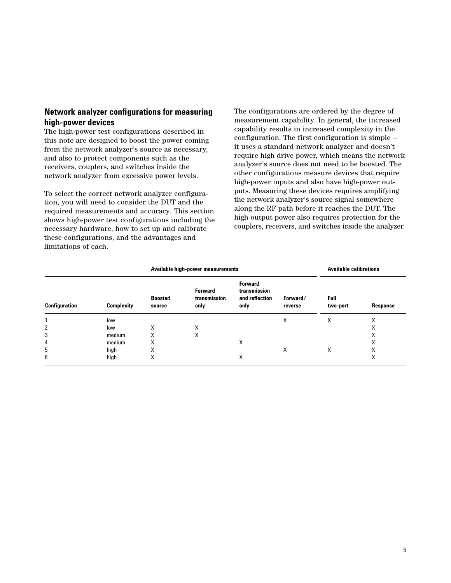# **Network analyzer configurations for measuring high-power devices**

The high-power test configurations described in this note are designed to boost the power coming from the network analyzer's source as necessary, and also to protect components such as the receivers, couplers, and switches inside the network analyzer from excessive power levels.

To select the correct network analyzer configuration, you will need to consider the DUT and the required measurements and accuracy. This section shows high-power test configurations including the necessary hardware, how to set up and calibrate these configurations, and the advantages and limitations of each.

The configurations are ordered by the degree of measurement capability. In general, the increased capability results in increased complexity in the configuration. The first configuration is simple it uses a standard network analyzer and doesn't require high drive power, which means the network analyzer's source does not need to be boosted. The other configurations measure devices that require high-power inputs and also have high-power outputs. Measuring these devices requires amplifying the network analyzer's source signal somewhere along the RF path before it reaches the DUT. The high output power also requires protection for the couplers, receivers, and switches inside the analyzer.

|               |                   |                          | Available high-power measurements      | <b>Available calibrations</b>                            |                     |                  |          |
|---------------|-------------------|--------------------------|----------------------------------------|----------------------------------------------------------|---------------------|------------------|----------|
| Configuration | <b>Complexity</b> | <b>Boosted</b><br>source | <b>Forward</b><br>transmission<br>only | <b>Forward</b><br>transmission<br>and reflection<br>only | Forward/<br>reverse | Full<br>two-port | Response |
|               | low               |                          |                                        |                                                          | X                   | X                | X        |
| 2             | low               | X                        | X                                      |                                                          |                     |                  | X        |
| 3             | medium            | Χ                        | X                                      |                                                          |                     |                  | X        |
| 4             | medium            | Χ                        |                                        | X                                                        |                     |                  | X        |
| 5             | high              | Χ                        |                                        |                                                          | X                   | х                | X        |
| 6             | high              | Χ                        |                                        | Χ                                                        |                     |                  | X        |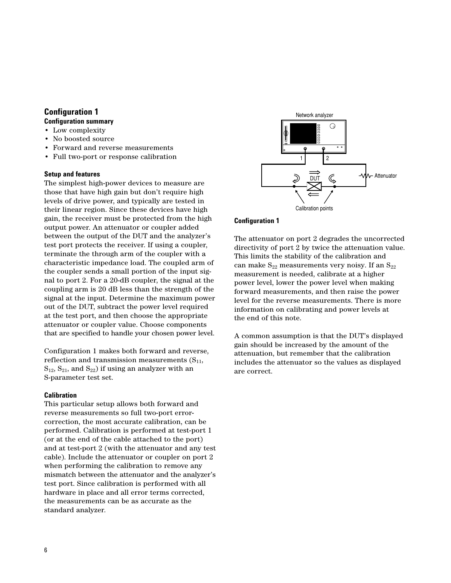# **Configuration 1**

# **Configuration summary**

- Low complexity
- No boosted source
- Forward and reverse measurements
- Full two-port or response calibration

#### **Setup and features**

The simplest high-power devices to measure are those that have high gain but don't require high levels of drive power, and typically are tested in their linear region. Since these devices have high gain, the receiver must be protected from the high output power. An attenuator or coupler added between the output of the DUT and the analyzer's test port protects the receiver. If using a coupler, terminate the through arm of the coupler with a characteristic impedance load. The coupled arm of the coupler sends a small portion of the input signal to port 2. For a 20-dB coupler, the signal at the coupling arm is 20 dB less than the strength of the signal at the input. Determine the maximum power out of the DUT, subtract the power level required at the test port, and then choose the appropriate attenuator or coupler value. Choose components that are specified to handle your chosen power level.

Configuration 1 makes both forward and reverse, reflection and transmission measurements  $(S_{11},$  $S_{12}$ ,  $S_{21}$ , and  $S_{22}$ ) if using an analyzer with an S-parameter test set.

## **Calibration**

This particular setup allows both forward and reverse measurements so full two-port errorcorrection, the most accurate calibration, can be performed. Calibration is performed at test-port 1 (or at the end of the cable attached to the port) and at test-port 2 (with the attenuator and any test cable). Include the attenuator or coupler on port 2 when performing the calibration to remove any mismatch between the attenuator and the analyzer's test port. Since calibration is performed with all hardware in place and all error terms corrected, the measurements can be as accurate as the standard analyzer.



#### **Configuration 1**

The attenuator on port 2 degrades the uncorrected directivity of port 2 by twice the attenuation value. This limits the stability of the calibration and can make  $S_{22}$  measurements very noisy. If an  $S_{22}$ measurement is needed, calibrate at a higher power level, lower the power level when making forward measurements, and then raise the power level for the reverse measurements. There is more information on calibrating and power levels at the end of this note.

A common assumption is that the DUT's displayed gain should be increased by the amount of the attenuation, but remember that the calibration includes the attenuator so the values as displayed are correct.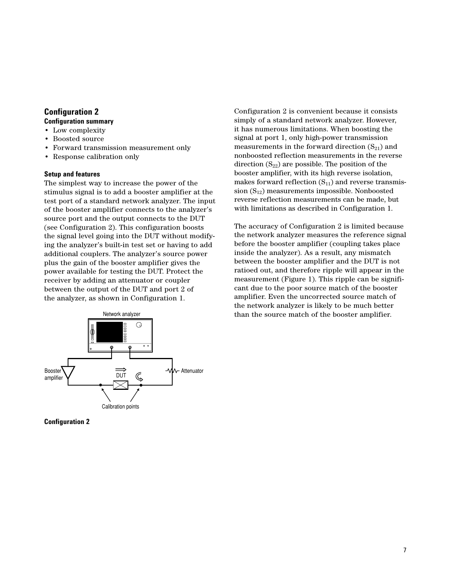# **Configuration 2**

# **Configuration summary**

- Low complexity
- Boosted source
- Forward transmission measurement only
- Response calibration only

#### **Setup and features**

The simplest way to increase the power of the stimulus signal is to add a booster amplifier at the test port of a standard network analyzer. The input of the booster amplifier connects to the analyzer's source port and the output connects to the DUT (see Configuration 2). This configuration boosts the signal level going into the DUT without modifying the analyzer's built-in test set or having to add additional couplers. The analyzer's source power plus the gain of the booster amplifier gives the power available for testing the DUT. Protect the receiver by adding an attenuator or coupler between the output of the DUT and port 2 of the analyzer, as shown in Configuration 1.



Configuration 2 is convenient because it consists simply of a standard network analyzer. However, it has numerous limitations. When boosting the signal at port 1, only high-power transmission measurements in the forward direction  $(S_{21})$  and nonboosted reflection measurements in the reverse direction  $(S_{22})$  are possible. The position of the booster amplifier, with its high reverse isolation, makes forward reflection  $(S_{11})$  and reverse transmission  $(S_{12})$  measurements impossible. Nonboosted reverse reflection measurements can be made, but with limitations as described in Configuration 1.

The accuracy of Configuration 2 is limited because the network analyzer measures the reference signal before the booster amplifier (coupling takes place inside the analyzer). As a result, any mismatch between the booster amplifier and the DUT is not ratioed out, and therefore ripple will appear in the measurement (Figure 1). This ripple can be significant due to the poor source match of the booster amplifier. Even the uncorrected source match of the network analyzer is likely to be much better Network analyzer than the source match of the booster amplifier.

**Configuration 2**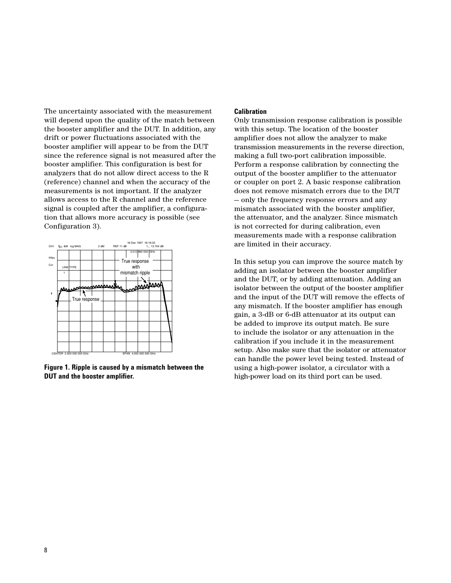The uncertainty associated with the measurement will depend upon the quality of the match between the booster amplifier and the DUT. In addition, any drift or power fluctuations associated with the booster amplifier will appear to be from the DUT since the reference signal is not measured after the booster amplifier. This configuration is best for analyzers that do not allow direct access to the R (reference) channel and when the accuracy of the measurements is not important. If the analyzer allows access to the R channel and the reference signal is coupled after the amplifier, a configuration that allows more accuracy is possible (see Configuration 3).



**Figure 1. Ripple is caused by a mismatch between the DUT and the booster amplifier.**

#### **Calibration**

Only transmission response calibration is possible with this setup. The location of the booster amplifier does not allow the analyzer to make transmission measurements in the reverse direction, making a full two-port calibration impossible. Perform a response calibration by connecting the output of the booster amplifier to the attenuator or coupler on port 2. A basic response calibration does not remove mismatch errors due to the DUT — only the frequency response errors and any mismatch associated with the booster amplifier, the attenuator, and the analyzer. Since mismatch is not corrected for during calibration, even measurements made with a response calibration are limited in their accuracy.

In this setup you can improve the source match by adding an isolator between the booster amplifier and the DUT, or by adding attenuation. Adding an isolator between the output of the booster amplifier and the input of the DUT will remove the effects of any mismatch. If the booster amplifier has enough gain, a 3-dB or 6-dB attenuator at its output can be added to improve its output match. Be sure to include the isolator or any attenuation in the calibration if you include it in the measurement setup. Also make sure that the isolator or attenuator can handle the power level being tested. Instead of using a high-power isolator, a circulator with a high-power load on its third port can be used.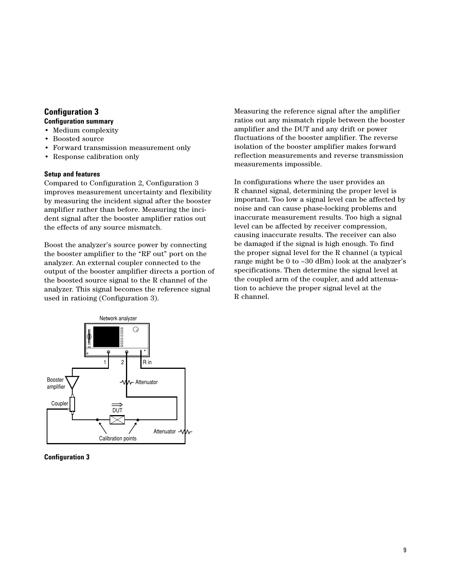# **Configuration 3 Configuration summary**

- Medium complexity
- Boosted source
- Forward transmission measurement only
- Response calibration only

#### **Setup and features**

Compared to Configuration 2, Configuration 3 improves measurement uncertainty and flexibility by measuring the incident signal after the booster amplifier rather than before. Measuring the incident signal after the booster amplifier ratios out the effects of any source mismatch.

Boost the analyzer's source power by connecting the booster amplifier to the "RF out" port on the analyzer. An external coupler connected to the output of the booster amplifier directs a portion of the boosted source signal to the R channel of the analyzer. This signal becomes the reference signal used in ratioing (Configuration 3).

Measuring the reference signal after the amplifier ratios out any mismatch ripple between the booster amplifier and the DUT and any drift or power fluctuations of the booster amplifier. The reverse isolation of the booster amplifier makes forward reflection measurements and reverse transmission measurements impossible.

In configurations where the user provides an R channel signal, determining the proper level is important. Too low a signal level can be affected by noise and can cause phase-locking problems and inaccurate measurement results. Too high a signal level can be affected by receiver compression, causing inaccurate results. The receiver can also be damaged if the signal is high enough. To find the proper signal level for the R channel (a typical range might be 0 to –30 dBm) look at the analyzer's specifications. Then determine the signal level at the coupled arm of the coupler, and add attenuation to achieve the proper signal level at the R channel.



**Configuration 3**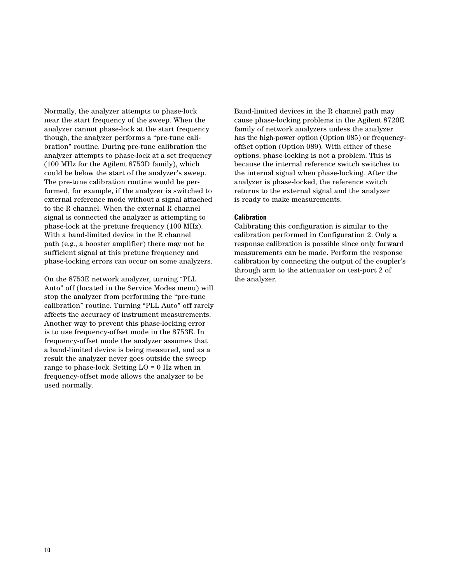Normally, the analyzer attempts to phase-lock near the start frequency of the sweep. When the analyzer cannot phase-lock at the start frequency though, the analyzer performs a "pre-tune calibration" routine. During pre-tune calibration the analyzer attempts to phase-lock at a set frequency (100 MHz for the Agilent 8753D family), which could be below the start of the analyzer's sweep. The pre-tune calibration routine would be performed, for example, if the analyzer is switched to external reference mode without a signal attached to the R channel. When the external R channel signal is connected the analyzer is attempting to phase-lock at the pretune frequency (100 MHz). With a band-limited device in the R channel path (e.g., a booster amplifier) there may not be sufficient signal at this pretune frequency and phase-locking errors can occur on some analyzers.

On the 8753E network analyzer, turning "PLL Auto" off (located in the Service Modes menu) will stop the analyzer from performing the "pre-tune calibration" routine. Turning "PLL Auto" off rarely affects the accuracy of instrument measurements. Another way to prevent this phase-locking error is to use frequency-offset mode in the 8753E. In frequency-offset mode the analyzer assumes that a band-limited device is being measured, and as a result the analyzer never goes outside the sweep range to phase-lock. Setting LO = 0 Hz when in frequency-offset mode allows the analyzer to be used normally.

Band-limited devices in the R channel path may cause phase-locking problems in the Agilent 8720E family of network analyzers unless the analyzer has the high-power option (Option 085) or frequencyoffset option (Option 089). With either of these options, phase-locking is not a problem. This is because the internal reference switch switches to the internal signal when phase-locking. After the analyzer is phase-locked, the reference switch returns to the external signal and the analyzer is ready to make measurements.

#### **Calibration**

Calibrating this configuration is similar to the calibration performed in Configuration 2. Only a response calibration is possible since only forward measurements can be made. Perform the response calibration by connecting the output of the coupler's through arm to the attenuator on test-port 2 of the analyzer.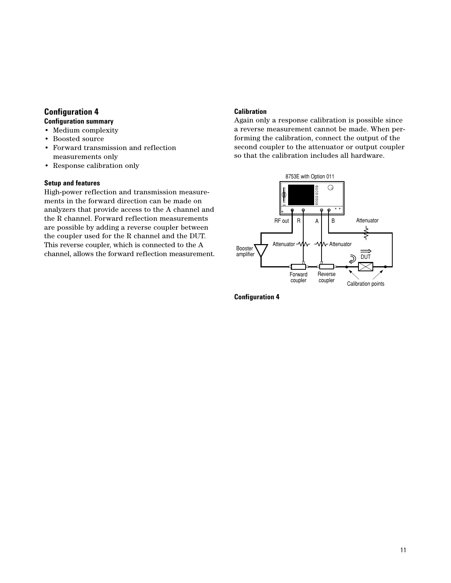# **Configuration 4 Configuration summary**

- Medium complexity
- Boosted source
- Forward transmission and reflection measurements only
- Response calibration only

## **Setup and features**

High-power reflection and transmission measurements in the forward direction can be made on analyzers that provide access to the A channel and the R channel. Forward reflection measurements are possible by adding a reverse coupler between the coupler used for the R channel and the DUT. This reverse coupler, which is connected to the A channel, allows the forward reflection measurement.

# **Calibration**

Again only a response calibration is possible since a reverse measurement cannot be made. When performing the calibration, connect the output of the second coupler to the attenuator or output coupler so that the calibration includes all hardware.



**Configuration 4**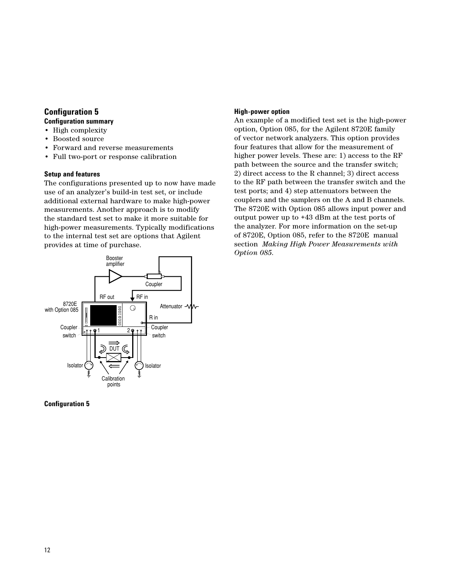# **Configuration 5**

# **Configuration summary**

- High complexity
- Boosted source
- Forward and reverse measurements
- Full two-port or response calibration

# **Setup and features**

The configurations presented up to now have made use of an analyzer's build-in test set, or include additional external hardware to make high-power measurements. Another approach is to modify the standard test set to make it more suitable for high-power measurements. Typically modifications to the internal test set are options that Agilent provides at time of purchase.

### **High-power option**

An example of a modified test set is the high-power option, Option 085, for the Agilent 8720E family of vector network analyzers. This option provides four features that allow for the measurement of higher power levels. These are: 1) access to the RF path between the source and the transfer switch; 2) direct access to the R channel; 3) direct access to the RF path between the transfer switch and the test ports; and 4) step attenuators between the couplers and the samplers on the A and B channels. The 8720E with Option 085 allows input power and output power up to +43 dBm at the test ports of the analyzer. For more information on the set-up of 8720E, Option 085, refer to the 8720E manual section *Making High Power Measurements with Option 085*.



## **Configuration 5**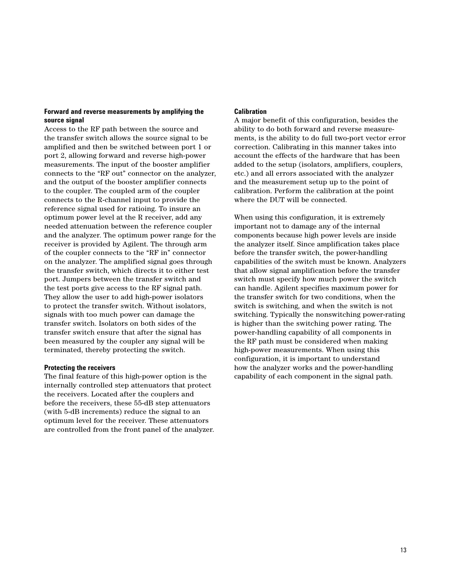### **Forward and reverse measurements by amplifying the source signal**

Access to the RF path between the source and the transfer switch allows the source signal to be amplified and then be switched between port 1 or port 2, allowing forward and reverse high-power measurements. The input of the booster amplifier connects to the "RF out" connector on the analyzer, and the output of the booster amplifier connects to the coupler. The coupled arm of the coupler connects to the R-channel input to provide the reference signal used for ratioing. To insure an optimum power level at the R receiver, add any needed attenuation between the reference coupler and the analyzer. The optimum power range for the receiver is provided by Agilent. The through arm of the coupler connects to the "RF in" connector on the analyzer. The amplified signal goes through the transfer switch, which directs it to either test port. Jumpers between the transfer switch and the test ports give access to the RF signal path. They allow the user to add high-power isolators to protect the transfer switch. Without isolators, signals with too much power can damage the transfer switch. Isolators on both sides of the transfer switch ensure that after the signal has been measured by the coupler any signal will be terminated, thereby protecting the switch.

#### **Protecting the receivers**

The final feature of this high-power option is the internally controlled step attenuators that protect the receivers. Located after the couplers and before the receivers, these 55-dB step attenuators (with 5-dB increments) reduce the signal to an optimum level for the receiver. These attenuators are controlled from the front panel of the analyzer.

#### **Calibration**

A major benefit of this configuration, besides the ability to do both forward and reverse measurements, is the ability to do full two-port vector error correction. Calibrating in this manner takes into account the effects of the hardware that has been added to the setup (isolators, amplifiers, couplers, etc.) and all errors associated with the analyzer and the measurement setup up to the point of calibration. Perform the calibration at the point where the DUT will be connected.

When using this configuration, it is extremely important not to damage any of the internal components because high power levels are inside the analyzer itself. Since amplification takes place before the transfer switch, the power-handling capabilities of the switch must be known. Analyzers that allow signal amplification before the transfer switch must specify how much power the switch can handle. Agilent specifies maximum power for the transfer switch for two conditions, when the switch is switching, and when the switch is not switching. Typically the nonswitching power-rating is higher than the switching power rating. The power-handling capability of all components in the RF path must be considered when making high-power measurements. When using this configuration, it is important to understand how the analyzer works and the power-handling capability of each component in the signal path.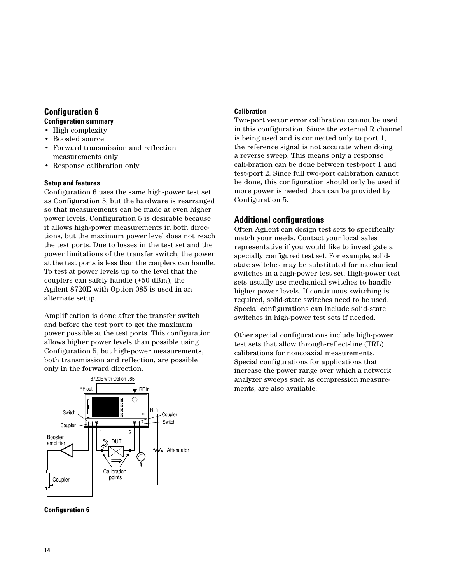# **Configuration 6**

# **Configuration summary**

- High complexity
- Boosted source
- Forward transmission and reflection measurements only
- Response calibration only

# **Setup and features**

Configuration 6 uses the same high-power test set as Configuration 5, but the hardware is rearranged so that measurements can be made at even higher power levels. Configuration 5 is desirable because it allows high-power measurements in both directions, but the maximum power level does not reach the test ports. Due to losses in the test set and the power limitations of the transfer switch, the power at the test ports is less than the couplers can handle. To test at power levels up to the level that the couplers can safely handle (+50 dBm), the Agilent 8720E with Option 085 is used in an alternate setup.

Amplification is done after the transfer switch and before the test port to get the maximum power possible at the test ports. This configuration allows higher power levels than possible using Configuration 5, but high-power measurements, both transmission and reflection, are possible only in the forward direction.



# **Calibration**

Two-port vector error calibration cannot be used in this configuration. Since the external R channel is being used and is connected only to port 1, the reference signal is not accurate when doing a reverse sweep. This means only a response cali-bration can be done between test-port 1 and test-port 2. Since full two-port calibration cannot be done, this configuration should only be used if more power is needed than can be provided by Configuration 5.

# **Additional configurations**

Often Agilent can design test sets to specifically match your needs. Contact your local sales representative if you would like to investigate a specially configured test set. For example, solidstate switches may be substituted for mechanical switches in a high-power test set. High-power test sets usually use mechanical switches to handle higher power levels. If continuous switching is required, solid-state switches need to be used. Special configurations can include solid-state switches in high-power test sets if needed.

Other special configurations include high-power test sets that allow through-reflect-line (TRL) calibrations for noncoaxial measurements. Special configurations for applications that increase the power range over which a network analyzer sweeps such as compression measurements, are also available.

**Configuration 6**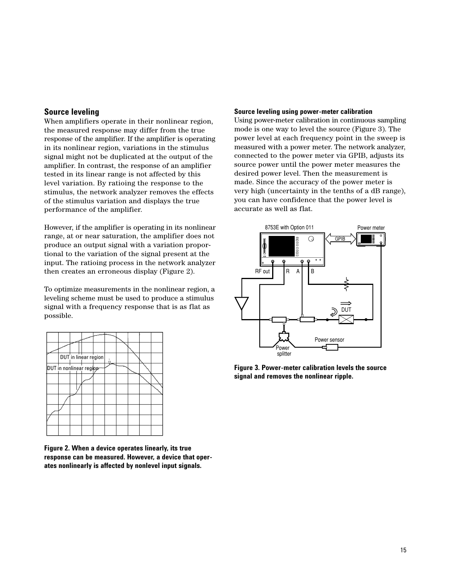## **Source leveling**

When amplifiers operate in their nonlinear region, the measured response may differ from the true response of the amplifier. If the amplifier is operating in its nonlinear region, variations in the stimulus signal might not be duplicated at the output of the amplifier. In contrast, the response of an amplifier tested in its linear range is not affected by this level variation. By ratioing the response to the stimulus, the network analyzer removes the effects of the stimulus variation and displays the true performance of the amplifier.

However, if the amplifier is operating in its nonlinear range, at or near saturation, the amplifier does not produce an output signal with a variation proportional to the variation of the signal present at the input. The ratioing process in the network analyzer then creates an erroneous display (Figure 2).

To optimize measurements in the nonlinear region, a leveling scheme must be used to produce a stimulus signal with a frequency response that is as flat as possible.

|                         |  |  |  | DUT in linear region |  | $\overline{u}$ |  |  |  |  |
|-------------------------|--|--|--|----------------------|--|----------------|--|--|--|--|
| DUT in nonlinear region |  |  |  |                      |  |                |  |  |  |  |
|                         |  |  |  |                      |  |                |  |  |  |  |
|                         |  |  |  |                      |  |                |  |  |  |  |
|                         |  |  |  |                      |  |                |  |  |  |  |
|                         |  |  |  |                      |  |                |  |  |  |  |
|                         |  |  |  |                      |  |                |  |  |  |  |
|                         |  |  |  |                      |  |                |  |  |  |  |

**Figure 2. When a device operates linearly, its true response can be measured. However, a device that operates nonlinearly is affected by nonlevel input signals.**

#### **Source leveling using power-meter calibration**

Using power-meter calibration in continuous sampling mode is one way to level the source (Figure 3). The power level at each frequency point in the sweep is measured with a power meter. The network analyzer, connected to the power meter via GPIB, adjusts its source power until the power meter measures the desired power level. Then the measurement is made. Since the accuracy of the power meter is very high (uncertainty in the tenths of a dB range), you can have confidence that the power level is accurate as well as flat.



**Figure 3. Power-meter calibration levels the source signal and removes the nonlinear ripple.**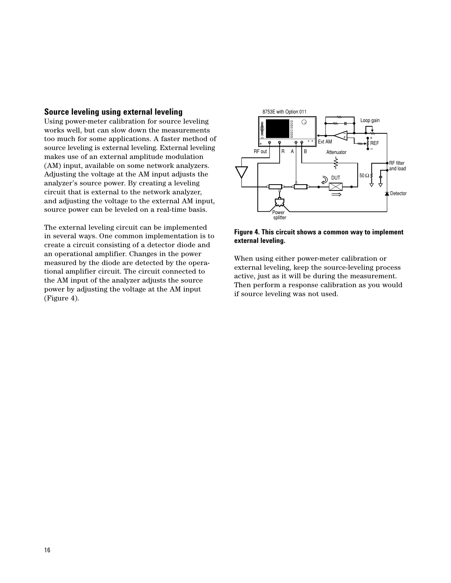### **Source leveling using external leveling**

Using power-meter calibration for source leveling works well, but can slow down the measurements too much for some applications. A faster method of source leveling is external leveling. External leveling makes use of an external amplitude modulation (AM) input, available on some network analyzers. Adjusting the voltage at the AM input adjusts the analyzer's source power. By creating a leveling circuit that is external to the network analyzer, and adjusting the voltage to the external AM input, source power can be leveled on a real-time basis.

The external leveling circuit can be implemented in several ways. One common implementation is to create a circuit consisting of a detector diode and an operational amplifier. Changes in the power measured by the diode are detected by the operational amplifier circuit. The circuit connected to the AM input of the analyzer adjusts the source power by adjusting the voltage at the AM input (Figure 4).



### **Figure 4. This circuit shows a common way to implement external leveling.**

When using either power-meter calibration or external leveling, keep the source-leveling process active, just as it will be during the measurement. Then perform a response calibration as you would if source leveling was not used.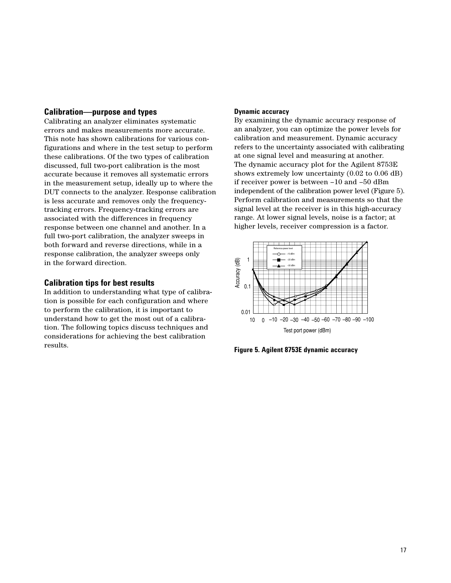#### **Calibration—purpose and types**

Calibrating an analyzer eliminates systematic errors and makes measurements more accurate. This note has shown calibrations for various configurations and where in the test setup to perform these calibrations. Of the two types of calibration discussed, full two-port calibration is the most accurate because it removes all systematic errors in the measurement setup, ideally up to where the DUT connects to the analyzer. Response calibration is less accurate and removes only the frequencytracking errors. Frequency-tracking errors are associated with the differences in frequency response between one channel and another. In a full two-port calibration, the analyzer sweeps in both forward and reverse directions, while in a response calibration, the analyzer sweeps only in the forward direction.

# **Calibration tips for best results**

In addition to understanding what type of calibration is possible for each configuration and where to perform the calibration, it is important to understand how to get the most out of a calibration. The following topics discuss techniques and considerations for achieving the best calibration results.

#### **Dynamic accuracy**

By examining the dynamic accuracy response of an analyzer, you can optimize the power levels for calibration and measurement. Dynamic accuracy refers to the uncertainty associated with calibrating at one signal level and measuring at another. The dynamic accuracy plot for the Agilent 8753E shows extremely low uncertainty (0.02 to 0.06 dB) if receiver power is between –10 and –50 dBm independent of the calibration power level (Figure 5). Perform calibration and measurements so that the signal level at the receiver is in this high-accuracy range. At lower signal levels, noise is a factor; at higher levels, receiver compression is a factor.



**Figure 5. Agilent 8753E dynamic accuracy**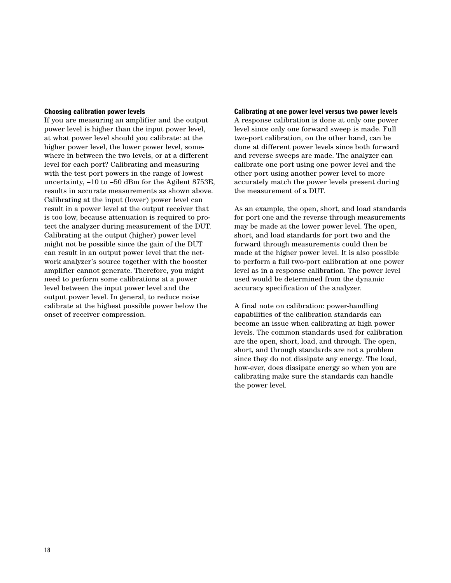#### **Choosing calibration power levels**

If you are measuring an amplifier and the output power level is higher than the input power level, at what power level should you calibrate: at the higher power level, the lower power level, somewhere in between the two levels, or at a different level for each port? Calibrating and measuring with the test port powers in the range of lowest uncertainty, –10 to –50 dBm for the Agilent 8753E, results in accurate measurements as shown above. Calibrating at the input (lower) power level can result in a power level at the output receiver that is too low, because attenuation is required to protect the analyzer during measurement of the DUT. Calibrating at the output (higher) power level might not be possible since the gain of the DUT can result in an output power level that the network analyzer's source together with the booster amplifier cannot generate. Therefore, you might need to perform some calibrations at a power level between the input power level and the output power level. In general, to reduce noise calibrate at the highest possible power below the onset of receiver compression.

# **Calibrating at one power level versus two power levels** A response calibration is done at only one power level since only one forward sweep is made. Full two-port calibration, on the other hand, can be done at different power levels since both forward and reverse sweeps are made. The analyzer can calibrate one port using one power level and the other port using another power level to more accurately match the power levels present during the measurement of a DUT.

As an example, the open, short, and load standards for port one and the reverse through measurements may be made at the lower power level. The open, short, and load standards for port two and the forward through measurements could then be made at the higher power level. It is also possible to perform a full two-port calibration at one power level as in a response calibration. The power level used would be determined from the dynamic accuracy specification of the analyzer.

A final note on calibration: power-handling capabilities of the calibration standards can become an issue when calibrating at high power levels. The common standards used for calibration are the open, short, load, and through. The open, short, and through standards are not a problem since they do not dissipate any energy. The load, how-ever, does dissipate energy so when you are calibrating make sure the standards can handle the power level.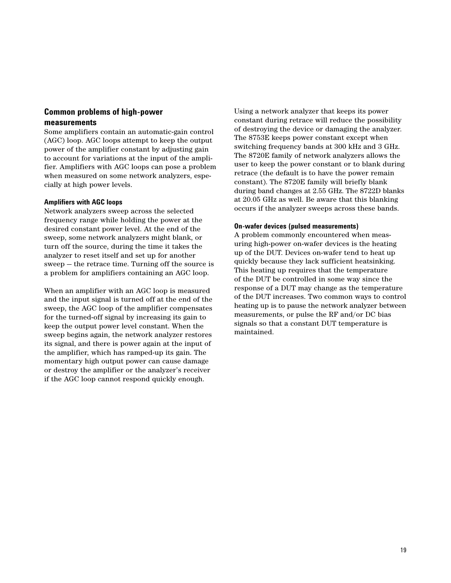# **Common problems of high-power measurements**

Some amplifiers contain an automatic-gain control (AGC) loop. AGC loops attempt to keep the output power of the amplifier constant by adjusting gain to account for variations at the input of the amplifier. Amplifiers with AGC loops can pose a problem when measured on some network analyzers, especially at high power levels.

#### **Amplifiers with AGC loops**

Network analyzers sweep across the selected frequency range while holding the power at the desired constant power level. At the end of the sweep, some network analyzers might blank, or turn off the source, during the time it takes the analyzer to reset itself and set up for another sweep — the retrace time. Turning off the source is a problem for amplifiers containing an AGC loop.

When an amplifier with an AGC loop is measured and the input signal is turned off at the end of the sweep, the AGC loop of the amplifier compensates for the turned-off signal by increasing its gain to keep the output power level constant. When the sweep begins again, the network analyzer restores its signal, and there is power again at the input of the amplifier, which has ramped-up its gain. The momentary high output power can cause damage or destroy the amplifier or the analyzer's receiver if the AGC loop cannot respond quickly enough.

Using a network analyzer that keeps its power constant during retrace will reduce the possibility of destroying the device or damaging the analyzer. The 8753E keeps power constant except when switching frequency bands at 300 kHz and 3 GHz. The 8720E family of network analyzers allows the user to keep the power constant or to blank during retrace (the default is to have the power remain constant). The 8720E family will briefly blank during band changes at 2.55 GHz. The 8722D blanks at 20.05 GHz as well. Be aware that this blanking occurs if the analyzer sweeps across these bands.

#### **On-wafer devices (pulsed measurements)**

A problem commonly encountered when measuring high-power on-wafer devices is the heating up of the DUT. Devices on-wafer tend to heat up quickly because they lack sufficient heatsinking. This heating up requires that the temperature of the DUT be controlled in some way since the response of a DUT may change as the temperature of the DUT increases. Two common ways to control heating up is to pause the network analyzer between measurements, or pulse the RF and/or DC bias signals so that a constant DUT temperature is maintained.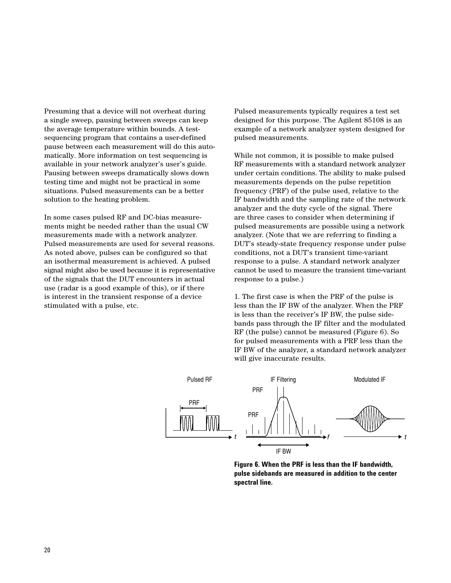Presuming that a device will not overheat during a single sweep, pausing between sweeps can keep the average temperature within bounds. A testsequencing program that contains a user-defined pause between each measurement will do this automatically. More information on test sequencing is available in your network analyzer's user's guide. Pausing between sweeps dramatically slows down testing time and might not be practical in some situations. Pulsed measurements can be a better solution to the heating problem.

In some cases pulsed RF and DC-bias measurements might be needed rather than the usual CW measurements made with a network analyzer. Pulsed measurements are used for several reasons. As noted above, pulses can be configured so that an isothermal measurement is achieved. A pulsed signal might also be used because it is representative of the signals that the DUT encounters in actual use (radar is a good example of this), or if there is interest in the transient response of a device stimulated with a pulse, etc.

Pulsed measurements typically requires a test set designed for this purpose. The Agilent 85108 is an example of a network analyzer system designed for pulsed measurements.

While not common, it is possible to make pulsed RF measurements with a standard network analyzer under certain conditions. The ability to make pulsed measurements depends on the pulse repetition frequency (PRF) of the pulse used, relative to the IF bandwidth and the sampling rate of the network analyzer and the duty cycle of the signal. There are three cases to consider when determining if pulsed measurements are possible using a network analyzer. (Note that we are referring to finding a DUT's steady-state frequency response under pulse conditions, not a DUT's transient time-variant response to a pulse. A standard network analyzer cannot be used to measure the transient time-variant response to a pulse.)

1. The first case is when the PRF of the pulse is less than the IF BW of the analyzer. When the PRF is less than the receiver's IF BW, the pulse sidebands pass through the IF filter and the modulated RF (the pulse) cannot be measured (Figure 6). So for pulsed measurements with a PRF less than the IF BW of the analyzer, a standard network analyzer will give inaccurate results.



**Figure 6. When the PRF is less than the IF bandwidth, pulse sidebands are measured in addition to the center spectral line.**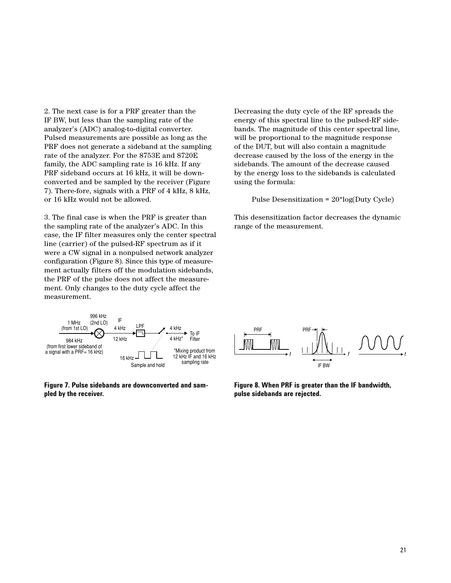2. The next case is for a PRF greater than the IF BW, but less than the sampling rate of the analyzer's (ADC) analog-to-digital converter. Pulsed measurements are possible as long as the PRF does not generate a sideband at the sampling rate of the analyzer. For the 8753E and 8720E family, the ADC sampling rate is 16 kHz. If any PRF sideband occurs at 16 kHz, it will be downconverted and be sampled by the receiver (Figure 7). There-fore, signals with a PRF of 4 kHz, 8 kHz, or 16 kHz would not be allowed.

3. The final case is when the PRF is greater than the sampling rate of the analyzer's ADC. In this case, the IF filter measures only the center spectral line (carrier) of the pulsed-RF spectrum as if it were a CW signal in a nonpulsed network analyzer configuration (Figure 8). Since this type of measurement actually filters off the modulation sidebands, the PRF of the pulse does not affect the measurement. Only changes to the duty cycle affect the measurement.



**Figure 7. Pulse sidebands are downconverted and sampled by the receiver.**

Decreasing the duty cycle of the RF spreads the energy of this spectral line to the pulsed-RF sidebands. The magnitude of this center spectral line, will be proportional to the magnitude response of the DUT, but will also contain a magnitude decrease caused by the loss of the energy in the sidebands. The amount of the decrease caused by the energy loss to the sidebands is calculated using the formula:

Pulse Desensitization = 20\*log(Duty Cycle)

This desensitization factor decreases the dynamic range of the measurement.



**Figure 8. When PRF is greater than the IF bandwidth, pulse sidebands are rejected.**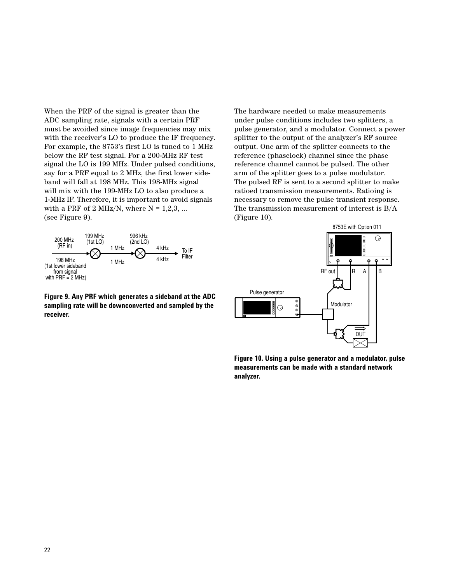When the PRF of the signal is greater than the ADC sampling rate, signals with a certain PRF must be avoided since image frequencies may mix with the receiver's LO to produce the IF frequency. For example, the 8753's first LO is tuned to 1 MHz below the RF test signal. For a 200-MHz RF test signal the LO is 199 MHz. Under pulsed conditions, say for a PRF equal to 2 MHz, the first lower sideband will fall at 198 MHz. This 198-MHz signal will mix with the 199-MHz LO to also produce a 1-MHz IF. Therefore, it is important to avoid signals with a PRF of 2 MHz/N, where  $N = 1,2,3, ...$ (see Figure 9).



**Figure 9. Any PRF which generates a sideband at the ADC sampling rate will be downconverted and sampled by the receiver.**

The hardware needed to make measurements under pulse conditions includes two splitters, a pulse generator, and a modulator. Connect a power splitter to the output of the analyzer's RF source output. One arm of the splitter connects to the reference (phaselock) channel since the phase reference channel cannot be pulsed. The other arm of the splitter goes to a pulse modulator. The pulsed RF is sent to a second splitter to make ratioed transmission measurements. Ratioing is necessary to remove the pulse transient response. The transmission measurement of interest is B/A (Figure 10).



**Figure 10. Using a pulse generator and a modulator, pulse measurements can be made with a standard network analyzer.**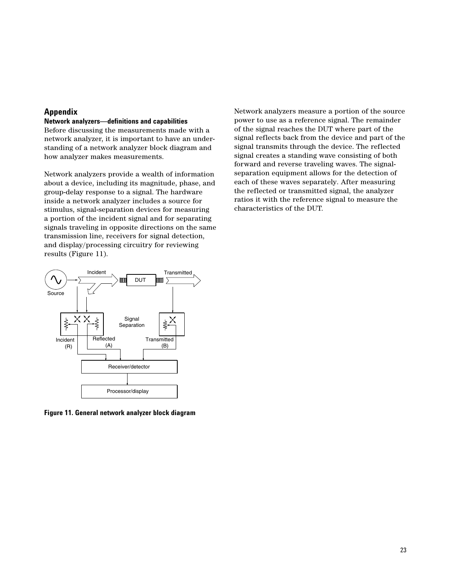# **Appendix**

# **Network analyzers—definitions and capabilities**

Before discussing the measurements made with a network analyzer, it is important to have an understanding of a network analyzer block diagram and how analyzer makes measurements.

Network analyzers provide a wealth of information about a device, including its magnitude, phase, and group-delay response to a signal. The hardware inside a network analyzer includes a source for stimulus, signal-separation devices for measuring a portion of the incident signal and for separating signals traveling in opposite directions on the same transmission line, receivers for signal detection, and display/processing circuitry for reviewing results (Figure 11).

Network analyzers measure a portion of the source power to use as a reference signal. The remainder of the signal reaches the DUT where part of the signal reflects back from the device and part of the signal transmits through the device. The reflected signal creates a standing wave consisting of both forward and reverse traveling waves. The signalseparation equipment allows for the detection of each of these waves separately. After measuring the reflected or transmitted signal, the analyzer ratios it with the reference signal to measure the characteristics of the DUT.



**Figure 11. General network analyzer block diagram**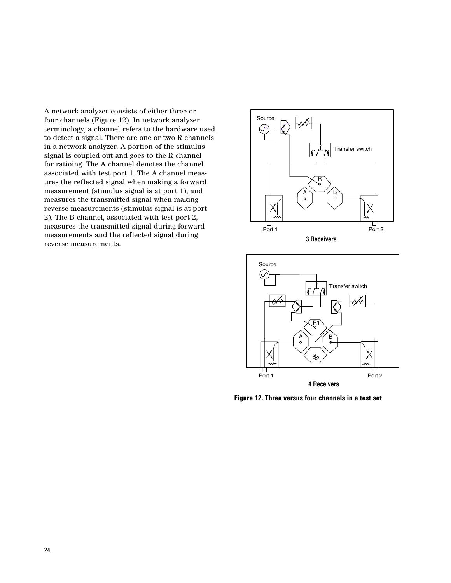A network analyzer consists of either three or four channels (Figure 12). In network analyzer terminology, a channel refers to the hardware used to detect a signal. There are one or two R channels in a network analyzer. A portion of the stimulus signal is coupled out and goes to the R channel for ratioing. The A channel denotes the channel associated with test port 1. The A channel measures the reflected signal when making a forward measurement (stimulus signal is at port 1), and measures the transmitted signal when making reverse measurements (stimulus signal is at port 2). The B channel, associated with test port 2, measures the transmitted signal during forward measurements and the reflected signal during reverse measurements.





**Figure 12. Three versus four channels in a test set**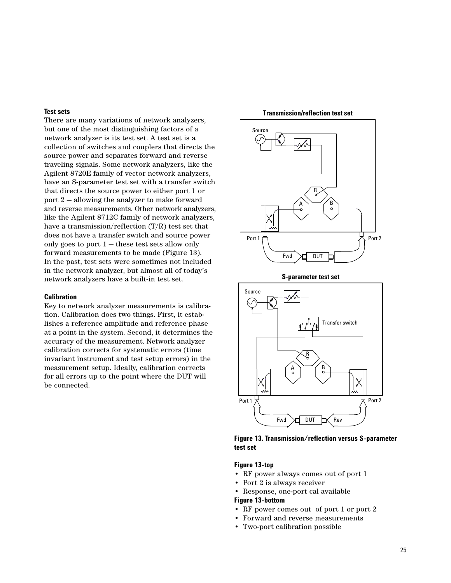#### **Test sets**

There are many variations of network analyzers, but one of the most distinguishing factors of a network analyzer is its test set. A test set is a collection of switches and couplers that directs the source power and separates forward and reverse traveling signals. Some network analyzers, like the Agilent 8720E family of vector network analyzers, have an S-parameter test set with a transfer switch that directs the source power to either port 1 or port 2 — allowing the analyzer to make forward and reverse measurements. Other network analyzers, like the Agilent 8712C family of network analyzers, have a transmission/reflection (T/R) test set that does not have a transfer switch and source power only goes to port  $1$  – these test sets allow only forward measurements to be made (Figure 13). In the past, test sets were sometimes not included in the network analyzer, but almost all of today's network analyzers have a built-in test set.

#### **Calibration**

Key to network analyzer measurements is calibration. Calibration does two things. First, it establishes a reference amplitude and reference phase at a point in the system. Second, it determines the accuracy of the measurement. Network analyzer calibration corrects for systematic errors (time invariant instrument and test setup errors) in the measurement setup. Ideally, calibration corrects for all errors up to the point where the DUT will be connected.



**Transmission/reflection test set**



**Figure 13. Transmission/reflection versus S-parameter test set**

### **Figure 13-top**

- RF power always comes out of port 1
- Port 2 is always receiver
- Response, one-port cal available

#### **Figure 13-bottom**

- RF power comes out of port 1 or port 2
- Forward and reverse measurements
- Two-port calibration possible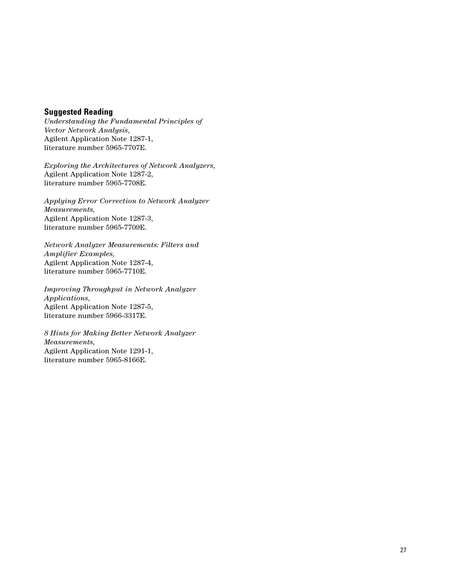# **Suggested Reading**

*Understanding the Fundamental Principles of Vector Network Analysis*, Agilent Application Note 1287-1, literature number 5965-7707E.

*Exploring the Architectures of Network Analyzers*, Agilent Application Note 1287-2, literature number 5965-7708E.

*Applying Error Correction to Network Analyzer Measurements*, Agilent Application Note 1287-3, literature number 5965-7709E.

*Network Analyzer Measurements: Filters and Amplifier Examples*, Agilent Application Note 1287-4, literature number 5965-7710E.

*Improving Throughput in Network Analyzer Applications*, Agilent Application Note 1287-5, literature number 5966-3317E.

*8 Hints for Making Better Network Analyzer Measurements*, Agilent Application Note 1291-1, literature number 5965-8166E.